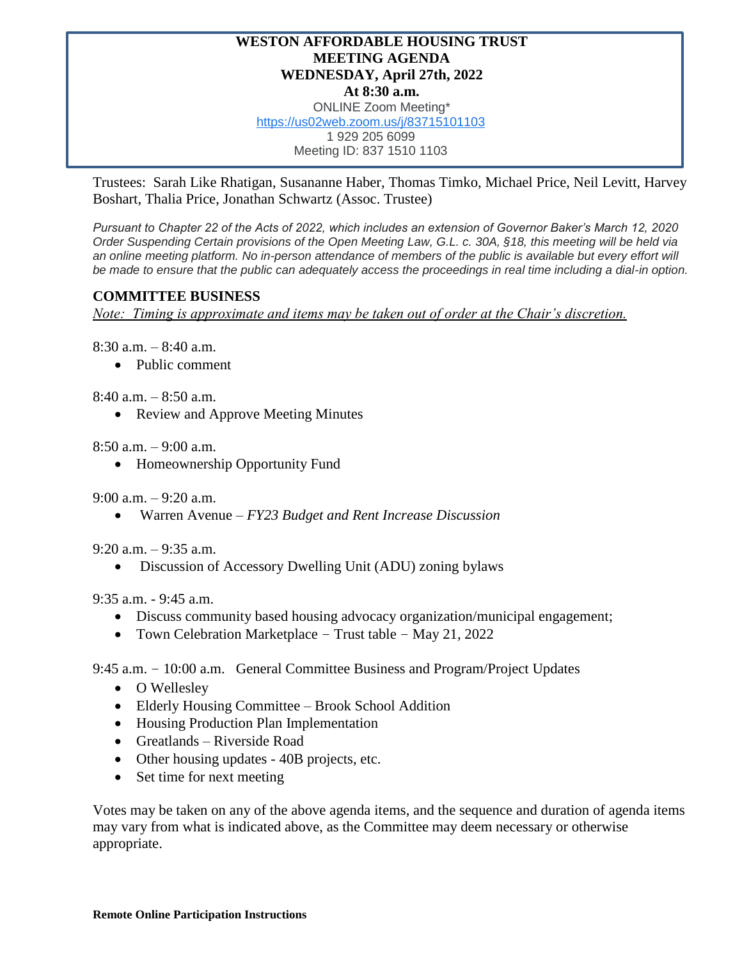## **WESTON AFFORDABLE HOUSING TRUST MEETING AGENDA WEDNESDAY, April 27th, 2022 At 8:30 a.m.** ONLINE Zoom Meeting\* [https://us02web.zoom.us/j/83715101103](https://www.google.com/url?q=https://us02web.zoom.us/j/83715101103&sa=D&source=calendar&ust=1650390225763347&usg=AOvVaw1fdC-odP9MiG9Vsnm8Z0hx) 1 929 205 6099 Meeting ID: 837 1510 1103

Trustees: Sarah Like Rhatigan, Susananne Haber, Thomas Timko, Michael Price, Neil Levitt, Harvey Boshart, Thalia Price, Jonathan Schwartz (Assoc. Trustee)

*Pursuant to Chapter 22 of the Acts of 2022, which includes an extension of Governor Baker's March 12, 2020 Order Suspending Certain provisions of the Open Meeting Law, G.L. c. 30A, §18, this meeting will be held via*  an online meeting platform. No in-person attendance of members of the public is available but every effort will *be made to ensure that the public can adequately access the proceedings in real time including a dial-in option.*

## **COMMITTEE BUSINESS**

*Note: Timing is approximate and items may be taken out of order at the Chair's discretion.*

8:30 a.m. – 8:40 a.m.

• Public comment

8:40 a.m. – 8:50 a.m.

• Review and Approve Meeting Minutes

 $8:50$  a.m.  $-9:00$  a.m.

• Homeownership Opportunity Fund

9:00 a.m. – 9:20 a.m.

• Warren Avenue – *FY23 Budget and Rent Increase Discussion*

9:20 a.m. – 9:35 a.m.

• Discussion of Accessory Dwelling Unit (ADU) zoning bylaws

9:35 a.m. - 9:45 a.m.

- Discuss community based housing advocacy organization/municipal engagement;
- Town Celebration Marketplace Trust table May 21, 2022

## 9:45 a.m. – 10:00 a.m. General Committee Business and Program/Project Updates

- O Wellesley
- Elderly Housing Committee Brook School Addition
- Housing Production Plan Implementation
- Greatlands Riverside Road
- Other housing updates 40B projects, etc.
- Set time for next meeting

Votes may be taken on any of the above agenda items, and the sequence and duration of agenda items may vary from what is indicated above, as the Committee may deem necessary or otherwise appropriate.